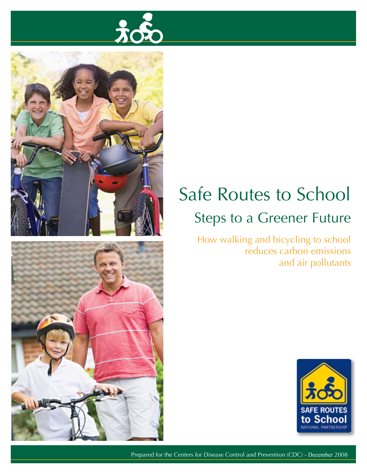





### **Safe Routes to School Steps to a Greener Future**

How walking and bicycling to school reduces carbon emissions and air pollutants



Prepared for the Centers for Disease Control and Prevention (CDC) - December 2008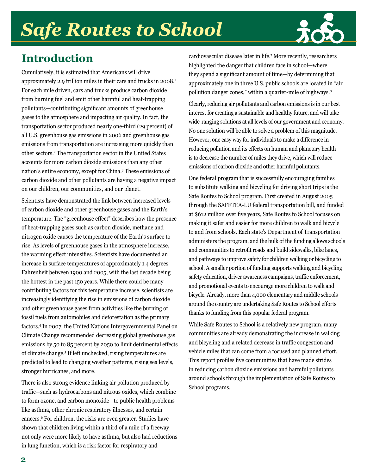## *Safe Routes to School*



### **Introduction**

Cumulatively, it is estimated that Americans will drive approximately 2.9 trillion miles in their cars and trucks in 2008.1 For each mile driven, cars and trucks produce carbon dioxide from burning fuel and emit other harmful and heat-trapping pollutants—contributing significant amounts of greenhouse gases to the atmosphere and impacting air quality. In fact, the transportation sector produced nearly one-third (29 percent) of all U.S. greenhouse gas emissions in 2006 and greenhouse gas emissions from transportation are increasing more quickly than other sectors.2 The transportation sector in the United States accounts for more carbon dioxide emissions than any other nation's entire economy, except for China.3 These emissions of carbon dioxide and other pollutants are having a negative impact on our children, our communities, and our planet.

Scientists have demonstrated the link between increased levels of carbon dioxide and other greenhouse gases and the Earth's temperature. The "greenhouse effect" describes how the presence of heat-trapping gases such as carbon dioxide, methane and nitrogen oxide causes the temperature of the Earth's surface to rise. As levels of greenhouse gases in the atmosphere increase, the warming effect intensifies. Scientists have documented an increase in surface temperatures of approximately 1.4 degrees Fahrenheit between 1900 and 2005, with the last decade being the hottest in the past 150 years. While there could be many contributing factors for this temperature increase, scientists are increasingly identifying the rise in emissions of carbon dioxide and other greenhouse gases from activities like the burning of fossil fuels from automobiles and deforestation as the primary factors.4 In 2007, the United Nations Intergovernmental Panel on Climate Change recommended decreasing global greenhouse gas emissions by 50 to 85 percent by 2050 to limit detrimental effects of climate change.5 If left unchecked, rising temperatures are predicted to lead to changing weather patterns, rising sea levels, stronger hurricanes, and more.

There is also strong evidence linking air pollution produced by traffic—such as hydrocarbons and nitrous oxides, which combine to form ozone, and carbon monoxide—to public health problems like asthma, other chronic respiratory illnesses, and certain cancers.6 For children, the risks are even greater. Studies have shown that children living within a third of a mile of a freeway not only were more likely to have asthma, but also had reductions in lung function, which is a risk factor for respiratory and

cardiovascular disease later in life.7 More recently, researchers highlighted the danger that children face in school—where they spend a significant amount of time—by determining that approximately one in three U.S. public schools are located in "air pollution danger zones," within a quarter-mile of highways.<sup>8</sup>

Clearly, reducing air pollutants and carbon emissions is in our best interest for creating a sustainable and healthy future, and will take wide-ranging solutions at all levels of our government and economy. No one solution will be able to solve a problem of this magnitude. However, one easy way for individuals to make a difference in reducing pollution and its effects on human and planetary health is to decrease the number of miles they drive, which will reduce emissions of carbon dioxide and other harmful pollutants.

One federal program that is successfully encouraging families to substitute walking and bicycling for driving short trips is the Safe Routes to School program. First created in August 2005 through the SAFETEA-LU federal transportation bill, and funded at \$612 million over five years, Safe Routes to School focuses on making it safer and easier for more children to walk and bicycle to and from schools. Each state's Department of Transportation administers the program, and the bulk of the funding allows schools and communities to retrofit roads and build sidewalks, bike lanes, and pathways to improve safety for children walking or bicycling to school. A smaller portion of funding supports walking and bicycling safety education, driver awareness campaigns, traffic enforcement, and promotional events to encourage more children to walk and bicycle. Already, more than 4,000 elementary and middle schools around the country are undertaking Safe Routes to School efforts thanks to funding from this popular federal program.

While Safe Routes to School is a relatively new program, many communities are already demonstrating the increase in walking and bicycling and a related decrease in traffic congestion and vehicle miles that can come from a focused and planned effort. This report profiles five communities that have made strides in reducing carbon dioxide emissions and harmful pollutants around schools through the implementation of Safe Routes to School programs.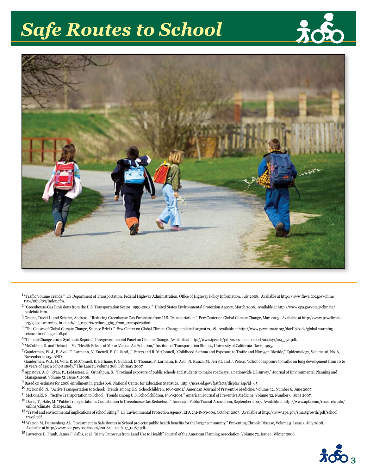### **Safe Routes to School**





- <sup>1</sup> "Traffic Volume Trends." US Department of Transportation, Federal Highway Administration, Office of Highway Policy Information, July 2008. Available at http://www.fhwa.dot.gov/ohim/ tytw/08iultyt/index.cfm.
- <sup>2</sup> "Greenhouse-Gas Emissions from the U.S. Transportation Sector: 1990-2003." United States Environmental Protection Agency, March 2006. Available at http://www.epa.gov/otaq/climate/ hasicinfo.htm.
- 3 Greene, David L. and Schafer, Andreas. "Reducing Greenhouse Gas Emissions from U.S. Transportation." Pew Center on Global Climate Change, May 2003. Available at http://www.pewclimate. org/global-warming-in-depth/all\_reports/reduce\_ghg\_from\_transportation.
- 4 "The Causes of Global Climate Change, Science Brief 1." Pew Center on Global Climate Change, updated August 2008. Available at http://www.pewclimate.org/docUploads/global-warmingscience-brief-augusto8.pdf.
- 5 "Climate Change 2007: Synthesis Report." Intergovernmental Panel on Climate Change. Available at http://www.ipcc.ch/pdf/assessment-report/ar4/syr/ar4\_syr.pdf.
- $^6$  McCubbin, D. and Delucchi, M. "Health Effects of Motor Vehicle Air Pollution," Institute of Transportation Studies, University of California-Davis, 1995.
- 7 Gauderman, W. J., E. Avol, F. Lurmann, N. Kuenzli, F. Gilliland, J. Peters and R. McConnell, "Childhood Asthma and Exposure to Traffic and Nitrogen Dioxide," Epidemiology, Volume 16, No. 6, November 2005. AND
- Gauderman, W.J., H. Vora, R. McConnell, K. Berhane, F. Gilliland, D. Thomas, F. Lurmann, E. Avol, N. Kunzli, M. Jerrett, and J. Peters, "Effect of exposure to traffic on lung development from 10 to 18 years of age: a cohort study," The Lancet, Volume 368, February 2007.
- 8 Appatova, A. S., Ryan, P., LeMasters, G., Grinshpun, S. "Proximal exposure of public schools and students to major roadways: a nationwide US survey," Journal of Environmental Planning and Management, Volume 51, Issue 5, 2008.
- 9 Based on estimate for 2008 enrollment in grades K-8, National Center for Education Statistics. http://nces.ed.gov/fastfacts/display.asp?id=65
- <sup>10</sup> McDonald, N. "Active Transportation to School: Trends among U.S. Schoolchildren, 1969-2001," American Journal of Preventive Medicine, Volume 32, Number 6, June 2007.
- <sup>11</sup> McDonald, N. "Active Transportation to School: Trends among U.S. Schoolchildren, 1969-2001," American Journal of Preventive Medicine, Volume 32, Number 6, June 2007.
- <sup>12</sup> Davis, T., Hale, M. "Public Transportation's Contribution to Greenhouse Gas Reduction." American Public Transit Association, September 2007. Available at http://www.apta.com/research/info/ online/climate change.cfm.
- <sup>13</sup> "Travel and environmental implications of school siting." US Environmental Protection Agency, EPA 231-R-03-004, October 2003. Available at http://www.epa.gov/smartgrowth/pdf/school\_ travel.pdf.
- <sup>14</sup> Watson M, Dannenberg AL. "Investment in Safe Routes to School projects: public health benefits for the larger community." Preventing Chronic Disease, Volume 5, Issue 3, July 2008. Available at http://www.cdc.gov/pcd/issues/2008/jul/pdf/07\_0087.pdf.
- <sup>15</sup> Lawrence D. Frank, James F. Sallis, et al. "Many Pathways from Land Use to Health" Journal of the American Planning Association, Volume 72, Issue 1, Winter 2006.

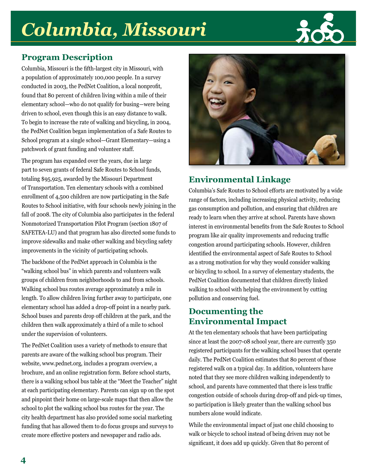## Columbia, Missouri



### **Program Description**

Columbia, Missouri is the fifth-largest city in Missouri, with a population of approximately 100,000 people. In a survey conducted in 2003, the PedNet Coalition, a local nonprofit, found that 80 percent of children living within a mile of their elementary school—who do not qualify for busing—were being driven to school, even though this is an easy distance to walk. To begin to increase the rate of walking and bicycling, in 2004, the PedNet Coalition began implementation of a Safe Routes to School program at a single school—Grant Elementary—using a patchwork of grant funding and volunteer staff.

The program has expanded over the years, due in large part to seven grants of federal Safe Routes to School funds, totaling \$95,925, awarded by the Missouri Department of Transportation. Ten elementary schools with a combined enrollment of 4,500 children are now participating in the Safe Routes to School initiative, with four schools newly joining in the fall of 2008. The city of Columbia also participates in the federal Nonmotorized Transportation Pilot Program (section 1807 of SAFETEA-LU) and that program has also directed some funds to improve sidewalks and make other walking and bicycling safety improvements in the vicinity of participating schools.

The backbone of the PedNet approach in Columbia is the "walking school bus" in which parents and volunteers walk groups of children from neighborhoods to and from schools. Walking school bus routes average approximately a mile in length. To allow children living further away to participate, one elementary school has added a drop-off point in a nearby park. School buses and parents drop off children at the park, and the children then walk approximately a third of a mile to school under the supervision of volunteers.

The PedNet Coalition uses a variety of methods to ensure that parents are aware of the walking school bus program. Their website, www.pednet.org, includes a program overview, a brochure, and an online registration form. Before school starts, there is a walking school bus table at the "Meet the Teacher" night at each participating elementary. Parents can sign up on the spot and pinpoint their home on large-scale maps that then allow the school to plot the walking school bus routes for the year. The city health department has also provided some social marketing funding that has allowed them to do focus groups and surveys to create more effective posters and newspaper and radio ads.



### **Environmental Linkage**

Columbia's Safe Routes to School efforts are motivated by a wide range of factors, including increasing physical activity, reducing gas consumption and pollution, and ensuring that children are ready to learn when they arrive at school. Parents have shown interest in environmental benefits from the Safe Routes to School program like air quality improvements and reducing traffic congestion around participating schools. However, children identified the environmental aspect of Safe Routes to School as a strong motivation for why they would consider walking or bicycling to school. In a survey of elementary students, the PedNet Coalition documented that children directly linked walking to school with helping the environment by cutting pollution and conserving fuel.

#### **Documenting the Environmental Impact**

At the ten elementary schools that have been participating since at least the 2007-08 school year, there are currently 350 registered participants for the walking school buses that operate daily. The PedNet Coalition estimates that 80 percent of those registered walk on a typical day. In addition, volunteers have noted that they see more children walking independently to school, and parents have commented that there is less traffic congestion outside of schools during drop-off and pick-up times, so participation is likely greater than the walking school bus numbers alone would indicate.

While the environmental impact of just one child choosing to walk or bicycle to school instead of being driven may not be significant, it does add up quickly. Given that 80 percent of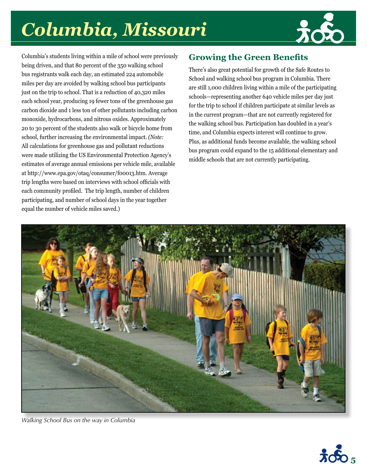## Columbia, Missouri



Columbia's students living within a mile of school were previously being driven, and that 80 percent of the 350 walking school bus registrants walk each day, an estimated 224 automobile miles per day are avoided by walking school bus participants just on the trip to school. That is a reduction of 40,320 miles each school year, producing 19 fewer tons of the greenhouse gas carbon dioxide and 1 less ton of other pollutants including carbon monoxide, hydrocarbons, and nitrous oxides. Approximately 20 to 30 percent of the students also walk or bicycle home from school, further increasing the environmental impact. (Note: All calculations for greenhouse gas and pollutant reductions were made utilizing the US Environmental Protection Agency's estimates of average annual emissions per vehicle mile, available at http://www.epa.gov/otaq/consumer/f00013.htm. Average trip lengths were based on interviews with school officials with each community profiled. The trip length, number of children participating, and number of school days in the year together equal the number of vehicle miles saved.)

### **Growing the Green Benefits**

There's also great potential for growth of the Safe Routes to School and walking school bus program in Columbia. There are still 1,000 children living within a mile of the participating schools—representing another 640 vehicle miles per day just for the trip to school if children participate at similar levels as in the current program—that are not currently registered for the walking school bus. Participation has doubled in a year's time, and Columbia expects interest will continue to grow. Plus, as additional funds become available, the walking school bus program could expand to the 15 additional elementary and middle schools that are not currently participating.



Walking School Bus on the way in Columbia

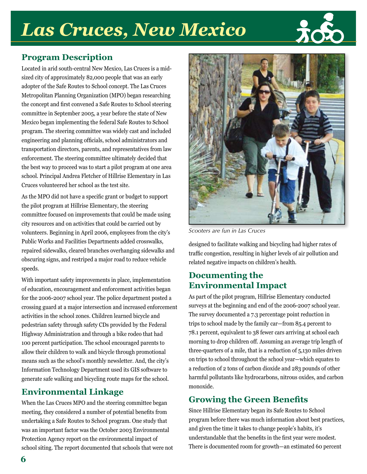### **Las Cruces, New Mexico**



### **Program Description**

Located in arid south-central New Mexico, Las Cruces is a midsized city of approximately 82,000 people that was an early adopter of the Safe Routes to School concept. The Las Cruces Metropolitan Planning Organization (MPO) began researching the concept and first convened a Safe Routes to School steering committee in September 2005, a year before the state of New Mexico began implementing the federal Safe Routes to School program. The steering committee was widely cast and included engineering and planning officials, school administrators and transportation directors, parents, and representatives from law enforcement. The steering committee ultimately decided that the best way to proceed was to start a pilot program at one area school. Principal Andrea Fletcher of Hillrise Elementary in Las Cruces volunteered her school as the test site.

As the MPO did not have a specific grant or budget to support the pilot program at Hillrise Elementary, the steering committee focused on improvements that could be made using city resources and on activities that could be carried out by volunteers. Beginning in April 2006, employees from the city's Public Works and Facilities Departments added crosswalks, repaired sidewalks, cleared branches overhanging sidewalks and obscuring signs, and restriped a major road to reduce vehicle speeds.

With important safety improvements in place, implementation of education, encouragement and enforcement activities began for the 2006-2007 school year. The police department posted a crossing guard at a major intersection and increased enforcement activities in the school zones. Children learned bicycle and pedestrian safety through safety CDs provided by the Federal Highway Administration and through a bike rodeo that had 100 percent participation. The school encouraged parents to allow their children to walk and bicycle through promotional means such as the school's monthly newsletter. And, the city's Information Technology Department used its GIS software to generate safe walking and bicycling route maps for the school.

#### **Environmental Linkage**

When the Las Cruces MPO and the steering committee began meeting, they considered a number of potential benefits from undertaking a Safe Routes to School program. One study that was an important factor was the October 2003 Environmental Protection Agency report on the environmental impact of school siting. The report documented that schools that were not



Scooters are fun in Las Cruces

designed to facilitate walking and bicycling had higher rates of traffic congestion, resulting in higher levels of air pollution and related negative impacts on children's health.

#### **Documenting the Environmental Impact**

As part of the pilot program, Hillrise Elementary conducted surveys at the beginning and end of the 2006-2007 school year. The survey documented a 7.3 percentage point reduction in trips to school made by the family car—from 85.4 percent to 78.1 percent, equivalent to 38 fewer cars arriving at school each morning to drop children off. Assuming an average trip length of three-quarters of a mile, that is a reduction of 5,130 miles driven on trips to school throughout the school year—which equates to a reduction of 2 tons of carbon dioxide and 283 pounds of other harmful pollutants like hydrocarbons, nitrous oxides, and carbon monoxide.

### **Growing the Green Benefits**

Since Hillrise Elementary began its Safe Routes to School program before there was much information about best practices, and given the time it takes to change people's habits, it's understandable that the benefits in the first year were modest. There is documented room for growth—an estimated 60 percent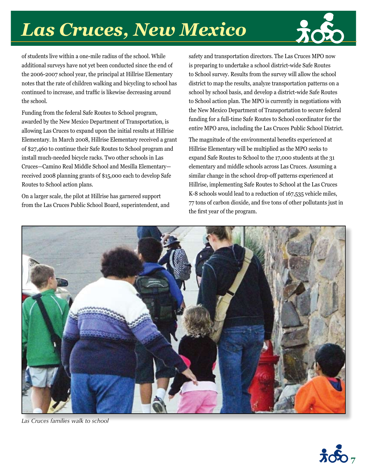### **Las Cruces, New Mexico**



of students live within a one-mile radius of the school. While additional surveys have not yet been conducted since the end of the 2006-2007 school year, the principal at Hillrise Elementary notes that the rate of children walking and bicycling to school has continued to increase, and traffic is likewise decreasing around the school.

Funding from the federal Safe Routes to School program, awarded by the New Mexico Department of Transportation, is allowing Las Cruces to expand upon the initial results at Hillrise Elementary. In March 2008, Hillrise Elementary received a grant of \$27,460 to continue their Safe Routes to School program and install much-needed bicycle racks. Two other schools in Las Cruces-Camino Real Middle School and Mesilla Elementaryreceived 2008 planning grants of \$15,000 each to develop Safe Routes to School action plans.

On a larger scale, the pilot at Hillrise has garnered support from the Las Cruces Public School Board, superintendent, and safety and transportation directors. The Las Cruces MPO now is preparing to undertake a school district-wide Safe Routes to School survey. Results from the survey will allow the school district to map the results, analyze transportation patterns on a school by school basis, and develop a district-wide Safe Routes to School action plan. The MPO is currently in negotiations with the New Mexico Department of Transportation to secure federal funding for a full-time Safe Routes to School coordinator for the entire MPO area, including the Las Cruces Public School District.

The magnitude of the environmental benefits experienced at Hillrise Elementary will be multiplied as the MPO seeks to expand Safe Routes to School to the 17,000 students at the 31 elementary and middle schools across Las Cruces. Assuming a similar change in the school drop-off patterns experienced at Hillrise, implementing Safe Routes to School at the Las Cruces K-8 schools would lead to a reduction of 167,535 vehicle miles, 77 tons of carbon dioxide, and five tons of other pollutants just in the first year of the program.



Las Cruces families walk to school

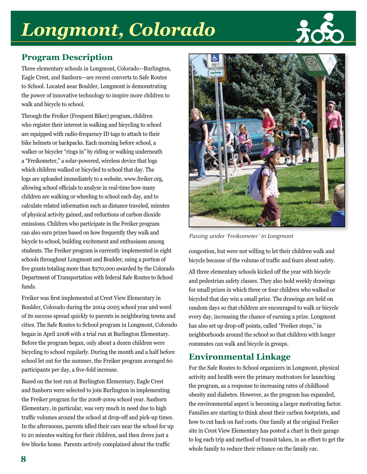### Longmont, Colorado



### **Program Description**

Three elementary schools in Longmont, Colorado-Burlington, Eagle Crest, and Sanborn-are recent converts to Safe Routes to School. Located near Boulder, Longmont is demonstrating the power of innovative technology to inspire more children to walk and bicycle to school.

Through the Freiker (Frequent Biker) program, children who register their interest in walking and bicycling to school are equipped with radio-frequency ID tags to attach to their bike helmets or backpacks. Each morning before school, a walker or bicycler "rings in" by riding or walking underneath a "Freikometer," a solar-powered, wireless device that logs which children walked or bicycled to school that day. The logs are uploaded immediately to a website, www.freiker.org, allowing school officials to analyze in real-time how many children are walking or wheeling to school each day, and to calculate related information such as distance traveled, minutes of physical activity gained, and reductions of carbon dioxide emissions. Children who participate in the Freiker program can also earn prizes based on how frequently they walk and bicycle to school, building excitement and enthusiasm among students. The Freiker program is currently implemented in eight schools throughout Longmont and Boulder, using a portion of five grants totaling more than \$270,000 awarded by the Colorado Department of Transportation with federal Safe Routes to School funds.

Freiker was first implemented at Crest View Elementary in Boulder, Colorado during the 2004-2005 school year and word of its success spread quickly to parents in neighboring towns and cities. The Safe Routes to School program in Longmont, Colorado began in April 2008 with a trial run at Burlington Elementary. Before the program began, only about a dozen children were bicycling to school regularly. During the month and a half before school let out for the summer, the Freiker program averaged 60 participants per day, a five-fold increase.

Based on the test run at Burlington Elementary, Eagle Crest and Sanborn were selected to join Burlington in implementing the Freiker program for the 2008-2009 school year. Sanborn Elementary, in particular, was very much in need due to high traffic volumes around the school at drop-off and pick-up times. In the afternoons, parents idled their cars near the school for up to 20 minutes waiting for their children, and then drove just a few blocks home. Parents actively complained about the traffic



Passing under 'Freikometer' in Longmont

congestion, but were not willing to let their children walk and bicycle because of the volume of traffic and fears about safety.

All three elementary schools kicked off the year with bicycle and pedestrian safety classes. They also hold weekly drawings for small prizes in which three or four children who walked or bicycled that day win a small prize. The drawings are held on random days so that children are encouraged to walk or bicycle every day, increasing the chance of earning a prize. Longmont has also set up drop-off points, called "Freiker stops," in neighborhoods around the school so that children with longer commutes can walk and bicycle in groups.

### **Environmental Linkage**

For the Safe Routes to School organizers in Longmont, physical activity and health were the primary motivators for launching the program, as a response to increasing rates of childhood obesity and diabetes. However, as the program has expanded, the environmental aspect is becoming a larger motivating factor. Families are starting to think about their carbon footprints, and how to cut back on fuel costs. One family at the original Freiker site in Crest View Elementary has posted a chart in their garage to log each trip and method of transit taken, in an effort to get the whole family to reduce their reliance on the family car.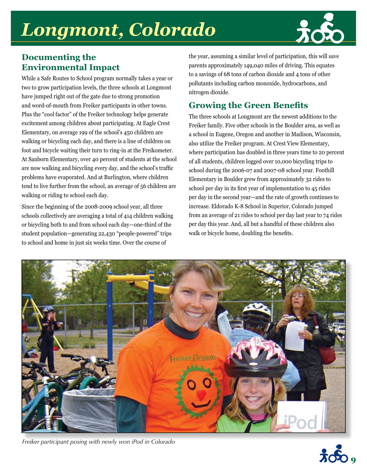### Longmont, Colorado



#### **Documenting the Environmental Impact**

While a Safe Routes to School program normally takes a year or two to grow participation levels, the three schools at Longmont have jumped right out of the gate due to strong promotion and word-of-mouth from Freiker participants in other towns. Plus the "cool factor" of the Freiker technology helps generate excitement among children about participating. At Eagle Crest Elementary, on average 199 of the school's 450 children are walking or bicycling each day, and there is a line of children on foot and bicycle waiting their turn to ring-in at the Freikometer. At Sanborn Elementary, over 40 percent of students at the school are now walking and bicycling every day, and the school's traffic problems have evaporated. And at Burlington, where children tend to live further from the school, an average of 56 children are walking or riding to school each day.

Since the beginning of the 2008-2009 school year, all three schools collectively are averaging a total of 414 children walking or bicycling both to and from school each day—one-third of the student population-generating 22,430 "people-powered" trips to school and home in just six weeks time. Over the course of

the year, assuming a similar level of participation, this will save parents approximately 149,040 miles of driving. This equates to a savings of 68 tons of carbon dioxide and 4 tons of other pollutants including carbon monoxide, hydrocarbons, and nitrogen dioxide.

### **Growing the Green Benefits**

The three schools at Longmont are the newest additions to the Freiker family. Five other schools in the Boulder area, as well as a school in Eugene, Oregon and another in Madison, Wisconsin, also utilize the Freiker program. At Crest View Elementary, where participation has doubled in three years time to 20 percent of all students, children logged over 10,000 bicycling trips to school during the 2006-07 and 2007-08 school year. Foothill Elementary in Boulder grew from approximately 32 rides to school per day in its first year of implementation to 45 rides per day in the second year—and the rate of growth continues to increase. Eldorado K-8 School in Superior, Colorado jumped from an average of 21 rides to school per day last year to 74 rides per day this year. And, all but a handful of these children also walk or bicycle home, doubling the benefits.



Freiker participant posing with newly won iPod in Colorado

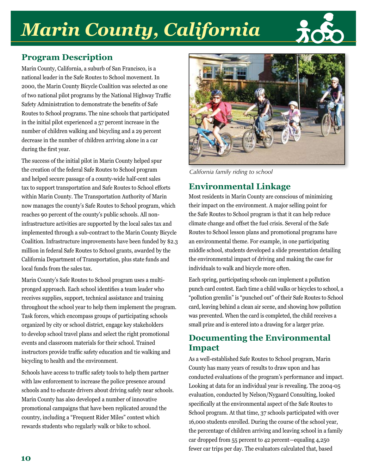## **Marin County, California**



### **Program Description**

Marin County, California, a suburb of San Francisco, is a national leader in the Safe Routes to School movement. In 2000, the Marin County Bicycle Coalition was selected as one of two national pilot programs by the National Highway Traffic Safety Administration to demonstrate the benefits of Safe Routes to School programs. The nine schools that participated in the initial pilot experienced a 57 percent increase in the number of children walking and bicycling and a 29 percent decrease in the number of children arriving alone in a car during the first year.

The success of the initial pilot in Marin County helped spur the creation of the federal Safe Routes to School program and helped secure passage of a county-wide half-cent sales tax to support transportation and Safe Routes to School efforts within Marin County. The Transportation Authority of Marin now manages the county's Safe Routes to School program, which reaches 90 percent of the county's public schools. All noninfrastructure activities are supported by the local sales tax and implemented through a sub-contract to the Marin County Bicycle Coalition. Infrastructure improvements have been funded by \$2.3 million in federal Safe Routes to School grants, awarded by the California Department of Transportation, plus state funds and local funds from the sales tax.

Marin County's Safe Routes to School program uses a multipronged approach. Each school identifies a team leader who receives supplies, support, technical assistance and training throughout the school year to help them implement the program. Task forces, which encompass groups of participating schools organized by city or school district, engage key stakeholders to develop school travel plans and select the right promotional events and classroom materials for their school. Trained instructors provide traffic safety education and tie walking and bicycling to health and the environment.

Schools have access to traffic safety tools to help them partner with law enforcement to increase the police presence around schools and to educate drivers about driving safely near schools. Marin County has also developed a number of innovative promotional campaigns that have been replicated around the country, including a "Frequent Rider Miles" contest which rewards students who regularly walk or bike to school.



California family riding to school

### **Environmental Linkage**

Most residents in Marin County are conscious of minimizing their impact on the environment. A major selling point for the Safe Routes to School program is that it can help reduce climate change and offset the fuel crisis. Several of the Safe Routes to School lesson plans and promotional programs have an environmental theme. For example, in one participating middle school, students developed a slide presentation detailing the environmental impact of driving and making the case for individuals to walk and bicycle more often.

Each spring, participating schools can implement a pollution punch card contest. Each time a child walks or bicycles to school, a "pollution gremlin" is "punched out" of their Safe Routes to School card, leaving behind a clean air scene, and showing how pollution was prevented. When the card is completed, the child receives a small prize and is entered into a drawing for a larger prize.

#### **Documenting the Environmental Impact**

As a well-established Safe Routes to School program, Marin County has many years of results to draw upon and has conducted evaluations of the program's performance and impact. Looking at data for an individual year is revealing. The 2004-05 evaluation, conducted by Nelson/Nygaard Consulting, looked specifically at the environmental aspect of the Safe Routes to School program. At that time, 37 schools participated with over 16,000 students enrolled. During the course of the school year, the percentage of children arriving and leaving school in a family car dropped from 55 percent to 42 percent—equaling 4,250 fewer car trips per day. The evaluators calculated that, based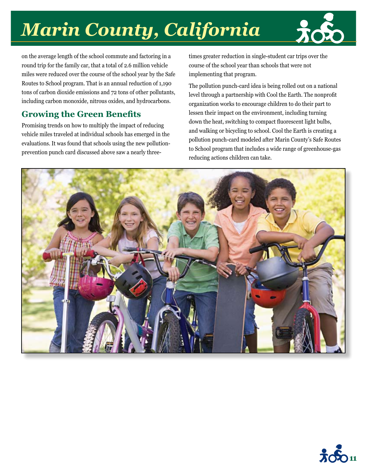# **Marin County, California**

on the average length of the school commute and factoring in a round trip for the family car, that a total of 2.6 million vehicle miles were reduced over the course of the school year by the Safe Routes to School program. That is an annual reduction of 1,190 tons of carbon dioxide emissions and 72 tons of other pollutants, including carbon monoxide, nitrous oxides, and hydrocarbons.

### **Growing the Green Benefits**

Promising trends on how to multiply the impact of reducing vehicle miles traveled at individual schools has emerged in the evaluations. It was found that schools using the new pollutionprevention punch card discussed above saw a nearly threetimes greater reduction in single-student car trips over the course of the school year than schools that were not implementing that program.

The pollution punch-card idea is being rolled out on a national level through a partnership with Cool the Earth. The nonprofit organization works to encourage children to do their part to lessen their impact on the environment, including turning down the heat, switching to compact fluorescent light bulbs, and walking or bicycling to school. Cool the Earth is creating a pollution punch-card modeled after Marin County's Safe Routes to School program that includes a wide range of greenhouse-gas reducing actions children can take.



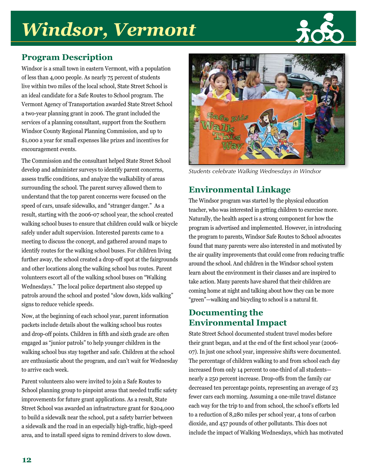## **Windsor, Vermont**



### **Program Description**

Windsor is a small town in eastern Vermont, with a population of less than 4,000 people. As nearly 75 percent of students live within two miles of the local school, State Street School is an ideal candidate for a Safe Routes to School program. The Vermont Agency of Transportation awarded State Street School a two-year planning grant in 2006. The grant included the services of a planning consultant, support from the Southern Windsor County Regional Planning Commission, and up to \$1,000 a year for small expenses like prizes and incentives for encouragement events.

The Commission and the consultant helped State Street School develop and administer surveys to identify parent concerns, assess traffic conditions, and analyze the walkability of areas surrounding the school. The parent survey allowed them to understand that the top parent concerns were focused on the speed of cars, unsafe sidewalks, and "stranger danger." As a result, starting with the 2006-07 school year, the school created walking school buses to ensure that children could walk or bicycle safely under adult supervision. Interested parents came to a meeting to discuss the concept, and gathered around maps to identify routes for the walking school buses. For children living further away, the school created a drop-off spot at the fairgrounds and other locations along the walking school bus routes. Parent volunteers escort all of the walking school buses on "Walking" Wednesdays." The local police department also stepped up patrols around the school and posted "slow down, kids walking" signs to reduce vehicle speeds.

Now, at the beginning of each school year, parent information packets include details about the walking school bus routes and drop-off points. Children in fifth and sixth grade are often engaged as "junior patrols" to help younger children in the walking school bus stay together and safe. Children at the school are enthusiastic about the program, and can't wait for Wednesday to arrive each week.

Parent volunteers also were invited to join a Safe Routes to School planning group to pinpoint areas that needed traffic safety improvements for future grant applications. As a result, State Street School was awarded an infrastructure grant for \$204,000 to build a sidewalk near the school, put a safety barrier between a sidewalk and the road in an especially high-traffic, high-speed area, and to install speed signs to remind drivers to slow down.



Students celebrate Walking Wednesdays in Windsor

### **Environmental Linkage**

The Windsor program was started by the physical education teacher, who was interested in getting children to exercise more. Naturally, the health aspect is a strong component for how the program is advertised and implemented. However, in introducing the program to parents, Windsor Safe Routes to School advocates found that many parents were also interested in and motivated by the air quality improvements that could come from reducing traffic around the school. And children in the Windsor school system learn about the environment in their classes and are inspired to take action. Many parents have shared that their children are coming home at night and talking about how they can be more "green"-walking and bicycling to school is a natural fit.

#### **Documenting the Environmental Impact**

State Street School documented student travel modes before their grant began, and at the end of the first school year (2006-07). In just one school year, impressive shifts were documented. The percentage of children walking to and from school each day increased from only 14 percent to one-third of all studentsnearly a 250 percent increase. Drop-offs from the family car decreased ten percentage points, representing an average of 23 fewer cars each morning. Assuming a one-mile travel distance each way for the trip to and from school, the school's efforts led to a reduction of 8,280 miles per school year, 4 tons of carbon dioxide, and 457 pounds of other pollutants. This does not include the impact of Walking Wednesdays, which has motivated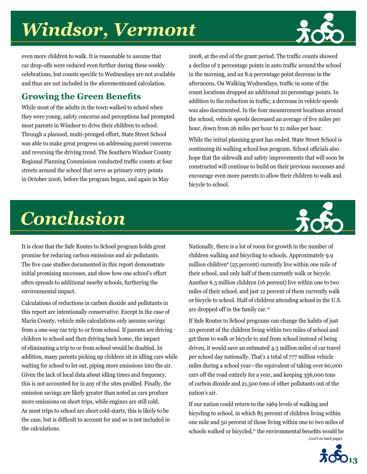## *Windsor, Vermont*



even more children to walk. It is reasonable to assume that car drop-offs were reduced even further during these weekly celebrations, but counts specific to Wednesdays are not available and thus are not included in the aforementioned calculation.

### **Growing the Green Benefits**

While most of the adults in the town walked to school when they were young, safety concerns and perceptions had prompted most parents in Windsor to drive their children to school. Through a planned, multi-pronged effort, State Street School was able to make great progress on addressing parent concerns and reversing the driving trend. The Southern Windsor County Regional Planning Commission conducted traffic counts at four streets around the school that serve as primary entry points in October 2006, before the program began, and again in May

2008, at the end of the grant period. The traffic counts showed a decline of 2 percentage points in auto traffic around the school in the morning, and an 8.9 percentage point decrease in the afternoons. On Walking Wednesdays, traffic in some of the count locations dropped an additional 20 percentage points. In addition to the reduction in traffic, a decrease in vehicle speeds was also documented. In the four measurement locations around the school, vehicle speeds decreased an average of five miles per hour, down from 26 miles per hour to 21 miles per hour.

While the initial planning grant has ended, State Street School is continuing its walking school bus program. School officials also hope that the sidewalk and safety improvements that will soon be constructed will continue to build on their previous successes and encourage even more parents to allow their children to walk and bicycle to school.



## *Conclusion*

It is clear that the Safe Routes to School program holds great promise for reducing carbon emissions and air pollutants. The five case studies documented in this report demonstrate initial promising successes, and show how one school's effort often spreads to additional nearby schools, furthering the environmental impact.

Calculations of reductions in carbon dioxide and pollutants in this report are intentionally conservative. Except in the case of Marin County, vehicle mile calculations only assume savings from a one-way car trip to or from school. If parents are driving children to school and then driving back home, the impact of eliminating a trip to or from school would be doubled. In addition, many parents picking up children sit in idling cars while waiting for school to let out, piping more emissions into the air. Given the lack of local data about idling times and frequency, this is not accounted for in any of the sites profiled. Finally, the emission savings are likely greater than noted as cars produce more emissions on short trips, while engines are still cold. As most trips to school are short cold-starts, this is likely to be the case, but is difficult to account for and so is not included in the calculations.

Nationally, there is a lot of room for growth in the number of children walking and bicycling to schools. Approximately 9.9 million children9 (25 percent) currently live within one mile of their school, and only half of them currently walk or bicycle. Another 6.3 million children (16 percent) live within one to two miles of their school, and just 12 percent of them currently walk or bicycle to school. Half of children attending school in the U.S. are dropped off in the family car.10

If Safe Routes to School programs can change the habits of just 20 percent of the children living within two miles of school and get them to walk or bicycle to and from school instead of being driven, it would save an estimated 4.3 million miles of car travel per school day nationally. That's a total of 777 million vehicle miles during a school year—the equivalent of taking over 60,000 cars off the road entirely for a year, and keeping 356,000 tons of carbon dioxide and 21,500 tons of other pollutants out of the nation's air.

If our nation could return to the 1969 levels of walking and bicycling to school, in which 85 percent of children living within one mile and 50 percent of those living within one to two miles of schools walked or bicycled,<sup>11</sup> the environmental benefits would be *(con't on back page)*